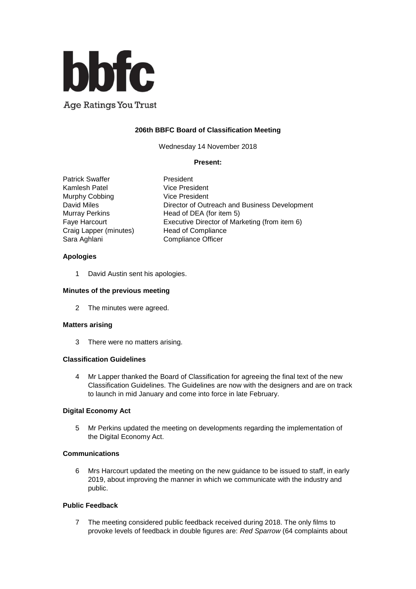

Age Ratings You Trust

# **206th BBFC Board of Classification Meeting**

Wednesday 14 November 2018

#### **Present:**

Patrick Swaffer **President** Kamlesh Patel Vice President<br>
Murnhy Cobbing Vice President Murphy Cobbing Craig Lapper (minutes) Head of Compliance Sara Aghlani Compliance Officer

David Miles Director of Outreach and Business Development Murray Perkins Head of DEA (for item 5) Faye Harcourt Executive Director of Marketing (from item 6)

## **Apologies**

1 David Austin sent his apologies.

## **Minutes of the previous meeting**

2 The minutes were agreed.

#### **Matters arising**

3 There were no matters arising.

## **Classification Guidelines**

4 Mr Lapper thanked the Board of Classification for agreeing the final text of the new Classification Guidelines. The Guidelines are now with the designers and are on track to launch in mid January and come into force in late February.

## **Digital Economy Act**

5 Mr Perkins updated the meeting on developments regarding the implementation of the Digital Economy Act.

## **Communications**

6 Mrs Harcourt updated the meeting on the new guidance to be issued to staff, in early 2019, about improving the manner in which we communicate with the industry and public.

## **Public Feedback**

7 The meeting considered public feedback received during 2018. The only films to provoke levels of feedback in double figures are: *Red Sparrow* (64 complaints about